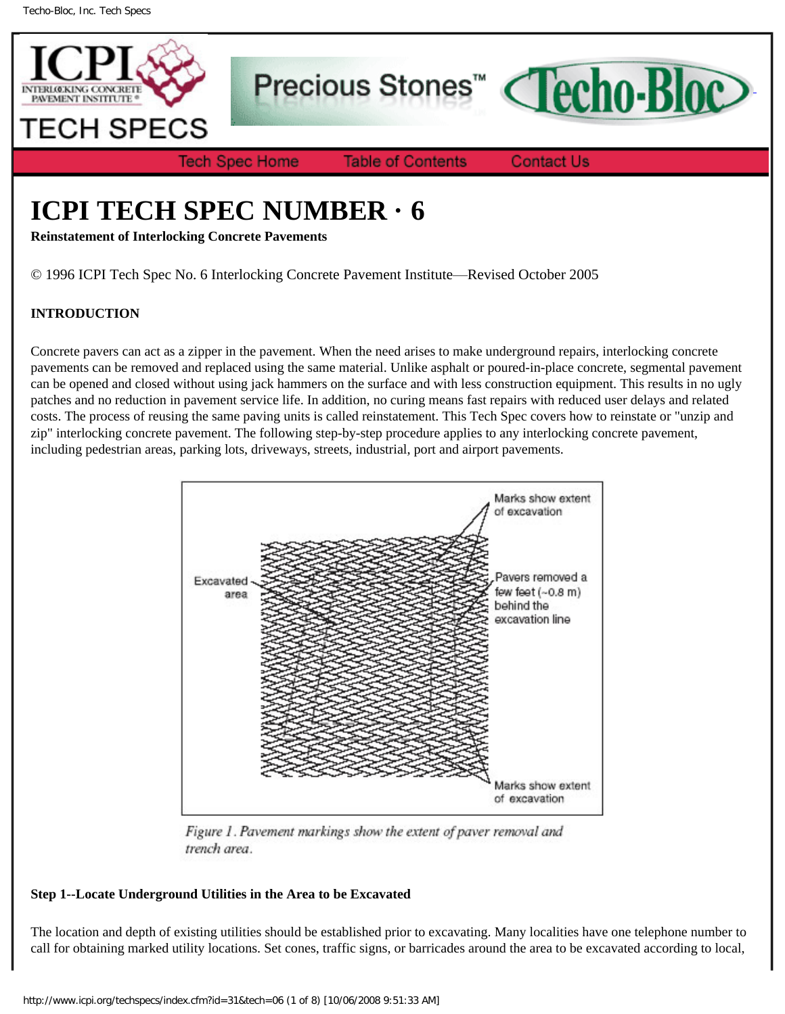

Precious Stones<sup>™</sup>



**Tech Spec Home** 

**Table of Contents** 

**Contact Us** 

# **ICPI TECH SPEC NUMBER · 6**

**Reinstatement of Interlocking Concrete Pavements**

© 1996 ICPI Tech Spec No. 6 Interlocking Concrete Pavement Institute—Revised October 2005

## **INTRODUCTION**

Concrete pavers can act as a zipper in the pavement. When the need arises to make underground repairs, interlocking concrete pavements can be removed and replaced using the same material. Unlike asphalt or poured-in-place concrete, segmental pavement can be opened and closed without using jack hammers on the surface and with less construction equipment. This results in no ugly patches and no reduction in pavement service life. In addition, no curing means fast repairs with reduced user delays and related costs. The process of reusing the same paving units is called reinstatement. This Tech Spec covers how to reinstate or "unzip and zip" interlocking concrete pavement. The following step-by-step procedure applies to any interlocking concrete pavement, including pedestrian areas, parking lots, driveways, streets, industrial, port and airport pavements.



Figure 1. Pavement markings show the extent of paver removal and trench area.

## **Step 1--Locate Underground Utilities in the Area to be Excavated**

The location and depth of existing utilities should be established prior to excavating. Many localities have one telephone number to call for obtaining marked utility locations. Set cones, traffic signs, or barricades around the area to be excavated according to local,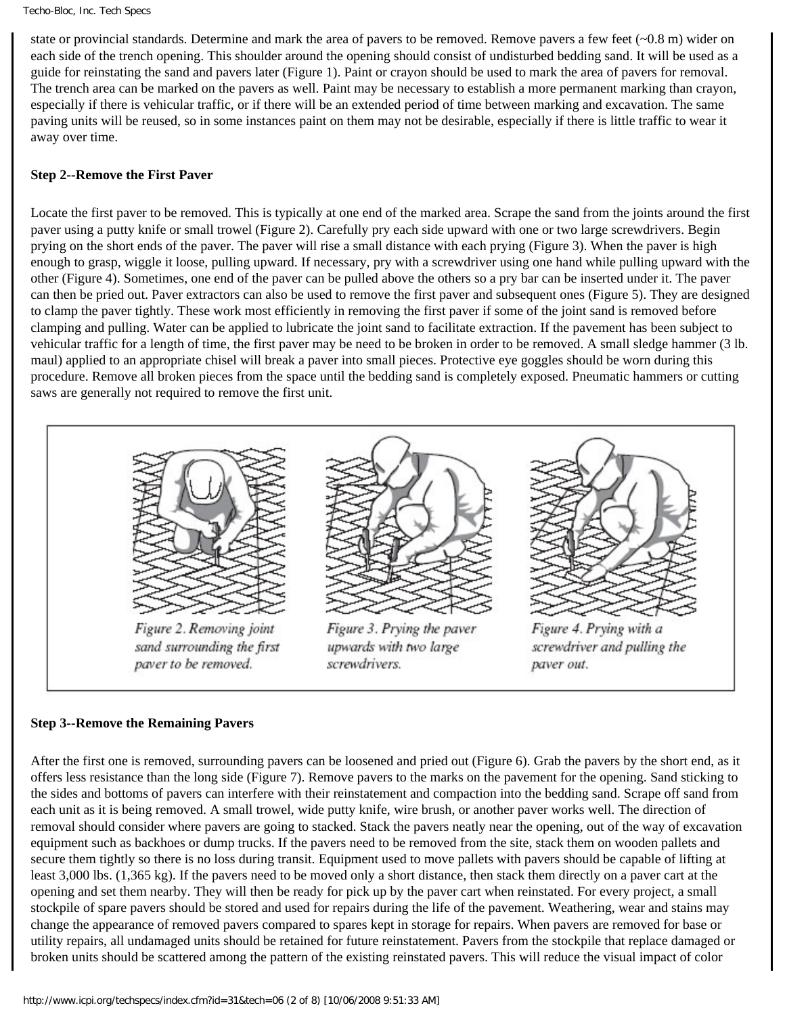state or provincial standards. Determine and mark the area of pavers to be removed. Remove pavers a few feet (~0.8 m) wider on each side of the trench opening. This shoulder around the opening should consist of undisturbed bedding sand. It will be used as a guide for reinstating the sand and pavers later (Figure 1). Paint or crayon should be used to mark the area of pavers for removal. The trench area can be marked on the pavers as well. Paint may be necessary to establish a more permanent marking than crayon, especially if there is vehicular traffic, or if there will be an extended period of time between marking and excavation. The same paving units will be reused, so in some instances paint on them may not be desirable, especially if there is little traffic to wear it away over time.

#### **Step 2--Remove the First Paver**

Locate the first paver to be removed. This is typically at one end of the marked area. Scrape the sand from the joints around the first paver using a putty knife or small trowel (Figure 2). Carefully pry each side upward with one or two large screwdrivers. Begin prying on the short ends of the paver. The paver will rise a small distance with each prying (Figure 3). When the paver is high enough to grasp, wiggle it loose, pulling upward. If necessary, pry with a screwdriver using one hand while pulling upward with the other (Figure 4). Sometimes, one end of the paver can be pulled above the others so a pry bar can be inserted under it. The paver can then be pried out. Paver extractors can also be used to remove the first paver and subsequent ones (Figure 5). They are designed to clamp the paver tightly. These work most efficiently in removing the first paver if some of the joint sand is removed before clamping and pulling. Water can be applied to lubricate the joint sand to facilitate extraction. If the pavement has been subject to vehicular traffic for a length of time, the first paver may be need to be broken in order to be removed. A small sledge hammer (3 lb. maul) applied to an appropriate chisel will break a paver into small pieces. Protective eye goggles should be worn during this procedure. Remove all broken pieces from the space until the bedding sand is completely exposed. Pneumatic hammers or cutting saws are generally not required to remove the first unit.



#### **Step 3--Remove the Remaining Pavers**

After the first one is removed, surrounding pavers can be loosened and pried out (Figure 6). Grab the pavers by the short end, as it offers less resistance than the long side (Figure 7). Remove pavers to the marks on the pavement for the opening. Sand sticking to the sides and bottoms of pavers can interfere with their reinstatement and compaction into the bedding sand. Scrape off sand from each unit as it is being removed. A small trowel, wide putty knife, wire brush, or another paver works well. The direction of removal should consider where pavers are going to stacked. Stack the pavers neatly near the opening, out of the way of excavation equipment such as backhoes or dump trucks. If the pavers need to be removed from the site, stack them on wooden pallets and secure them tightly so there is no loss during transit. Equipment used to move pallets with pavers should be capable of lifting at least 3,000 lbs. (1,365 kg). If the pavers need to be moved only a short distance, then stack them directly on a paver cart at the opening and set them nearby. They will then be ready for pick up by the paver cart when reinstated. For every project, a small stockpile of spare pavers should be stored and used for repairs during the life of the pavement. Weathering, wear and stains may change the appearance of removed pavers compared to spares kept in storage for repairs. When pavers are removed for base or utility repairs, all undamaged units should be retained for future reinstatement. Pavers from the stockpile that replace damaged or broken units should be scattered among the pattern of the existing reinstated pavers. This will reduce the visual impact of color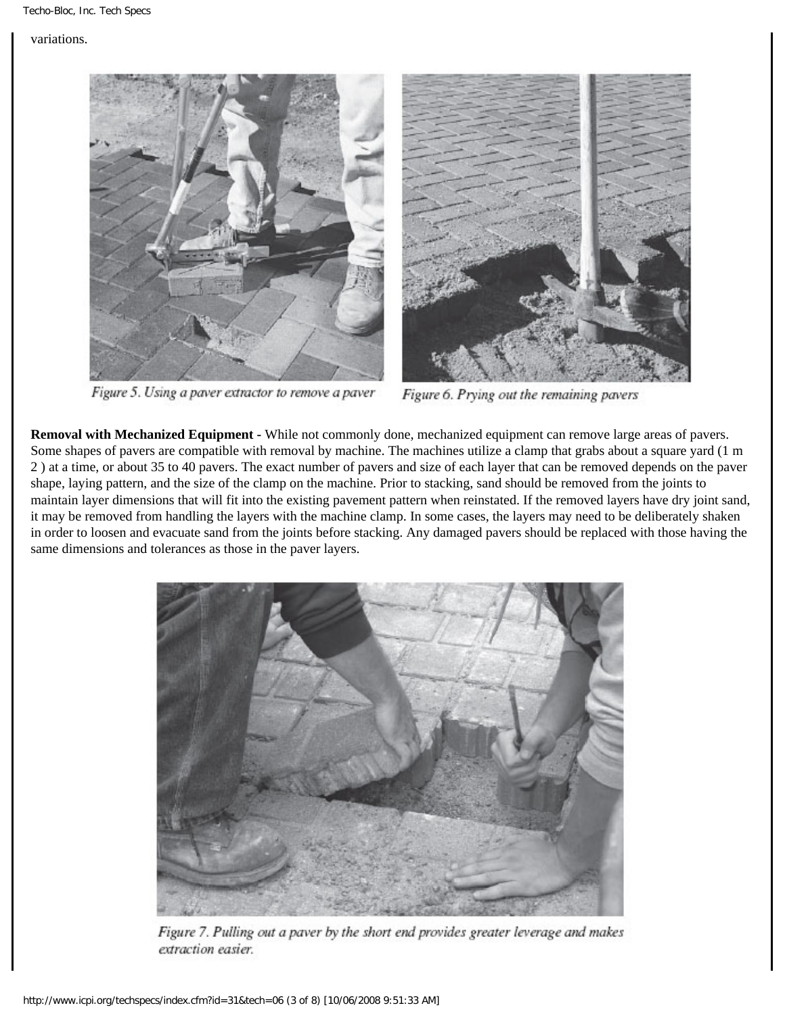#### variations.



Figure 5. Using a paver extractor to remove a paver



Figure 6. Prying out the remaining pavers

**Removal with Mechanized Equipment -** While not commonly done, mechanized equipment can remove large areas of pavers. Some shapes of pavers are compatible with removal by machine. The machines utilize a clamp that grabs about a square yard (1 m 2 ) at a time, or about 35 to 40 pavers. The exact number of pavers and size of each layer that can be removed depends on the paver shape, laying pattern, and the size of the clamp on the machine. Prior to stacking, sand should be removed from the joints to maintain layer dimensions that will fit into the existing pavement pattern when reinstated. If the removed layers have dry joint sand, it may be removed from handling the layers with the machine clamp. In some cases, the layers may need to be deliberately shaken in order to loosen and evacuate sand from the joints before stacking. Any damaged pavers should be replaced with those having the same dimensions and tolerances as those in the paver layers.



Figure 7. Pulling out a paver by the short end provides greater leverage and makes extraction easier.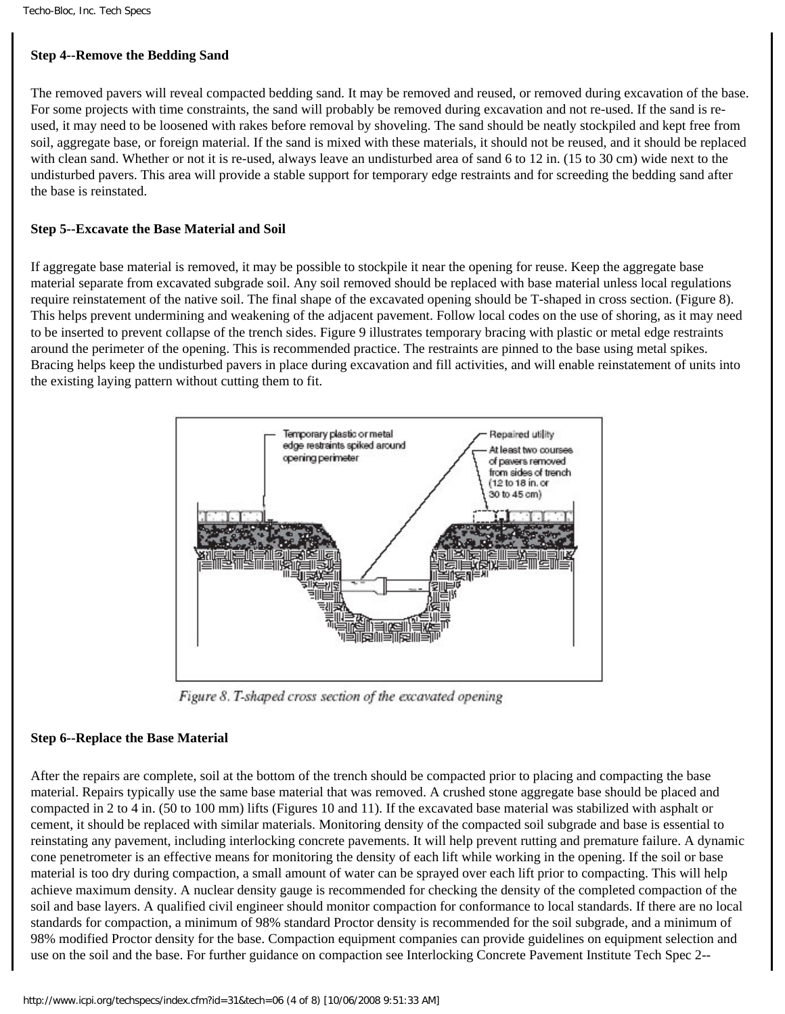#### **Step 4--Remove the Bedding Sand**

The removed pavers will reveal compacted bedding sand. It may be removed and reused, or removed during excavation of the base. For some projects with time constraints, the sand will probably be removed during excavation and not re-used. If the sand is reused, it may need to be loosened with rakes before removal by shoveling. The sand should be neatly stockpiled and kept free from soil, aggregate base, or foreign material. If the sand is mixed with these materials, it should not be reused, and it should be replaced with clean sand. Whether or not it is re-used, always leave an undisturbed area of sand 6 to 12 in. (15 to 30 cm) wide next to the undisturbed pavers. This area will provide a stable support for temporary edge restraints and for screeding the bedding sand after the base is reinstated.

#### **Step 5--Excavate the Base Material and Soil**

If aggregate base material is removed, it may be possible to stockpile it near the opening for reuse. Keep the aggregate base material separate from excavated subgrade soil. Any soil removed should be replaced with base material unless local regulations require reinstatement of the native soil. The final shape of the excavated opening should be T-shaped in cross section. (Figure 8). This helps prevent undermining and weakening of the adjacent pavement. Follow local codes on the use of shoring, as it may need to be inserted to prevent collapse of the trench sides. Figure 9 illustrates temporary bracing with plastic or metal edge restraints around the perimeter of the opening. This is recommended practice. The restraints are pinned to the base using metal spikes. Bracing helps keep the undisturbed pavers in place during excavation and fill activities, and will enable reinstatement of units into the existing laying pattern without cutting them to fit.



Figure 8. T-shaped cross section of the excavated opening

#### **Step 6--Replace the Base Material**

After the repairs are complete, soil at the bottom of the trench should be compacted prior to placing and compacting the base material. Repairs typically use the same base material that was removed. A crushed stone aggregate base should be placed and compacted in 2 to 4 in. (50 to 100 mm) lifts (Figures 10 and 11). If the excavated base material was stabilized with asphalt or cement, it should be replaced with similar materials. Monitoring density of the compacted soil subgrade and base is essential to reinstating any pavement, including interlocking concrete pavements. It will help prevent rutting and premature failure. A dynamic cone penetrometer is an effective means for monitoring the density of each lift while working in the opening. If the soil or base material is too dry during compaction, a small amount of water can be sprayed over each lift prior to compacting. This will help achieve maximum density. A nuclear density gauge is recommended for checking the density of the completed compaction of the soil and base layers. A qualified civil engineer should monitor compaction for conformance to local standards. If there are no local standards for compaction, a minimum of 98% standard Proctor density is recommended for the soil subgrade, and a minimum of 98% modified Proctor density for the base. Compaction equipment companies can provide guidelines on equipment selection and use on the soil and the base. For further guidance on compaction see Interlocking Concrete Pavement Institute Tech Spec 2--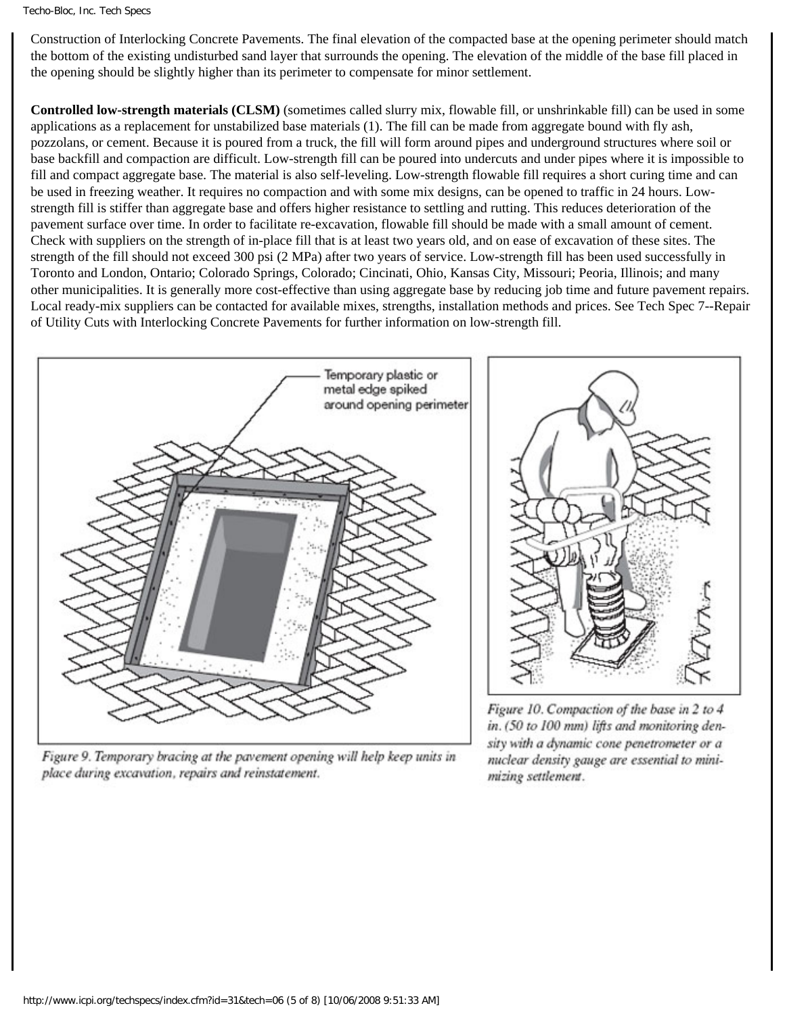#### Techo-Bloc, Inc. Tech Specs

Construction of Interlocking Concrete Pavements. The final elevation of the compacted base at the opening perimeter should match the bottom of the existing undisturbed sand layer that surrounds the opening. The elevation of the middle of the base fill placed in the opening should be slightly higher than its perimeter to compensate for minor settlement.

**Controlled low-strength materials (CLSM)** (sometimes called slurry mix, flowable fill, or unshrinkable fill) can be used in some applications as a replacement for unstabilized base materials (1). The fill can be made from aggregate bound with fly ash, pozzolans, or cement. Because it is poured from a truck, the fill will form around pipes and underground structures where soil or base backfill and compaction are difficult. Low-strength fill can be poured into undercuts and under pipes where it is impossible to fill and compact aggregate base. The material is also self-leveling. Low-strength flowable fill requires a short curing time and can be used in freezing weather. It requires no compaction and with some mix designs, can be opened to traffic in 24 hours. Lowstrength fill is stiffer than aggregate base and offers higher resistance to settling and rutting. This reduces deterioration of the pavement surface over time. In order to facilitate re-excavation, flowable fill should be made with a small amount of cement. Check with suppliers on the strength of in-place fill that is at least two years old, and on ease of excavation of these sites. The strength of the fill should not exceed 300 psi (2 MPa) after two years of service. Low-strength fill has been used successfully in Toronto and London, Ontario; Colorado Springs, Colorado; Cincinati, Ohio, Kansas City, Missouri; Peoria, Illinois; and many other municipalities. It is generally more cost-effective than using aggregate base by reducing job time and future pavement repairs. Local ready-mix suppliers can be contacted for available mixes, strengths, installation methods and prices. See Tech Spec 7--Repair of Utility Cuts with Interlocking Concrete Pavements for further information on low-strength fill.



Figure 9. Temporary bracing at the pavement opening will help keep units in place during excavation, repairs and reinstatement.

Figure 10. Compaction of the base in 2 to 4 in. (50 to 100 mm) lifts and monitoring density with a dynamic cone penetrometer or a nuclear density gauge are essential to minimizing settlement.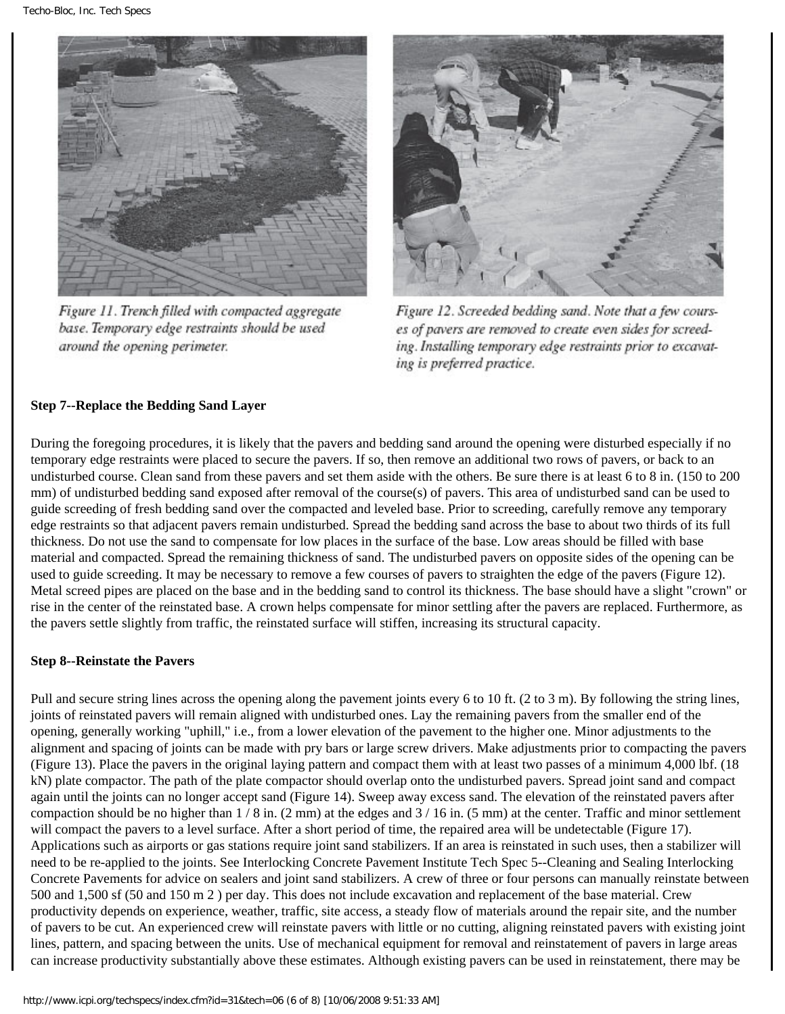

Figure 11. Trench filled with compacted aggregate base. Temporary edge restraints should be used around the opening perimeter.



Figure 12. Screeded bedding sand. Note that a few courses of pavers are removed to create even sides for screeding. Installing temporary edge restraints prior to excavating is preferred practice.

## **Step 7--Replace the Bedding Sand Layer**

During the foregoing procedures, it is likely that the pavers and bedding sand around the opening were disturbed especially if no temporary edge restraints were placed to secure the pavers. If so, then remove an additional two rows of pavers, or back to an undisturbed course. Clean sand from these pavers and set them aside with the others. Be sure there is at least 6 to 8 in. (150 to 200 mm) of undisturbed bedding sand exposed after removal of the course(s) of pavers. This area of undisturbed sand can be used to guide screeding of fresh bedding sand over the compacted and leveled base. Prior to screeding, carefully remove any temporary edge restraints so that adjacent pavers remain undisturbed. Spread the bedding sand across the base to about two thirds of its full thickness. Do not use the sand to compensate for low places in the surface of the base. Low areas should be filled with base material and compacted. Spread the remaining thickness of sand. The undisturbed pavers on opposite sides of the opening can be used to guide screeding. It may be necessary to remove a few courses of pavers to straighten the edge of the pavers (Figure 12). Metal screed pipes are placed on the base and in the bedding sand to control its thickness. The base should have a slight "crown" or rise in the center of the reinstated base. A crown helps compensate for minor settling after the pavers are replaced. Furthermore, as the pavers settle slightly from traffic, the reinstated surface will stiffen, increasing its structural capacity.

#### **Step 8--Reinstate the Pavers**

Pull and secure string lines across the opening along the pavement joints every 6 to 10 ft. (2 to 3 m). By following the string lines, joints of reinstated pavers will remain aligned with undisturbed ones. Lay the remaining pavers from the smaller end of the opening, generally working "uphill," i.e., from a lower elevation of the pavement to the higher one. Minor adjustments to the alignment and spacing of joints can be made with pry bars or large screw drivers. Make adjustments prior to compacting the pavers (Figure 13). Place the pavers in the original laying pattern and compact them with at least two passes of a minimum 4,000 lbf. (18 kN) plate compactor. The path of the plate compactor should overlap onto the undisturbed pavers. Spread joint sand and compact again until the joints can no longer accept sand (Figure 14). Sweep away excess sand. The elevation of the reinstated pavers after compaction should be no higher than  $1/8$  in. (2 mm) at the edges and  $3/16$  in. (5 mm) at the center. Traffic and minor settlement will compact the pavers to a level surface. After a short period of time, the repaired area will be undetectable (Figure 17). Applications such as airports or gas stations require joint sand stabilizers. If an area is reinstated in such uses, then a stabilizer will need to be re-applied to the joints. See Interlocking Concrete Pavement Institute Tech Spec 5--Cleaning and Sealing Interlocking Concrete Pavements for advice on sealers and joint sand stabilizers. A crew of three or four persons can manually reinstate between 500 and 1,500 sf (50 and 150 m 2 ) per day. This does not include excavation and replacement of the base material. Crew productivity depends on experience, weather, traffic, site access, a steady flow of materials around the repair site, and the number of pavers to be cut. An experienced crew will reinstate pavers with little or no cutting, aligning reinstated pavers with existing joint lines, pattern, and spacing between the units. Use of mechanical equipment for removal and reinstatement of pavers in large areas can increase productivity substantially above these estimates. Although existing pavers can be used in reinstatement, there may be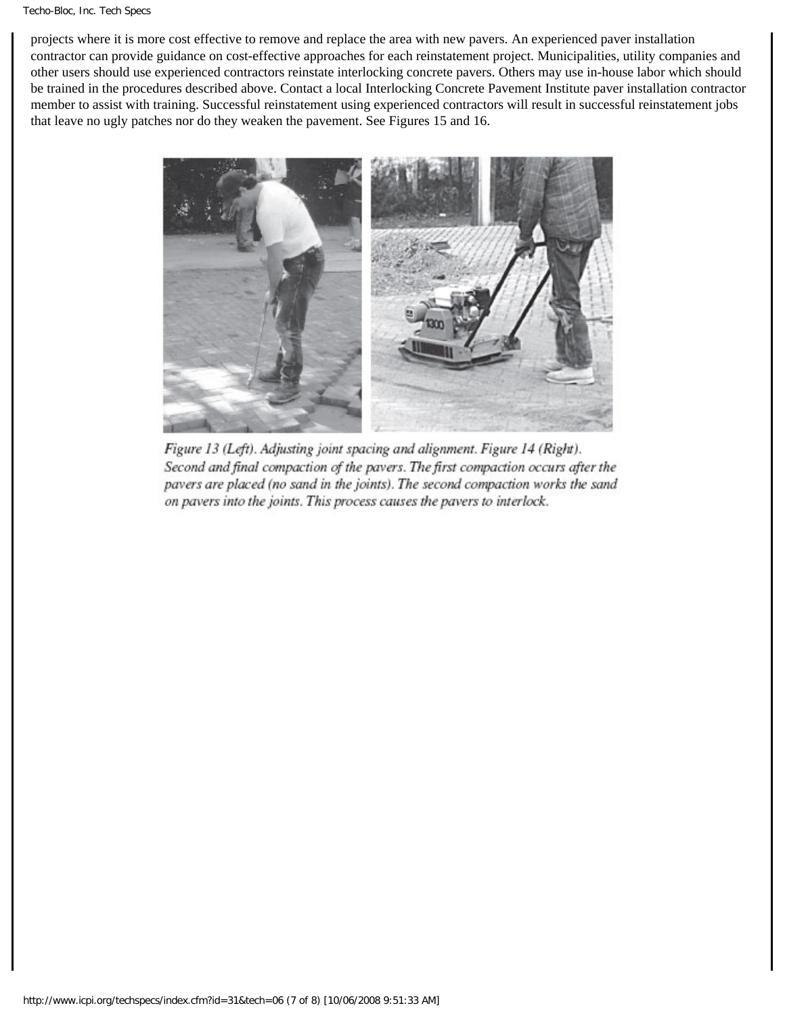projects where it is more cost effective to remove and replace the area with new pavers. An experienced paver installation contractor can provide guidance on cost-effective approaches for each reinstatement project. Municipalities, utility companies and other users should use experienced contractors reinstate interlocking concrete pavers. Others may use in-house labor which should be trained in the procedures described above. Contact a local Interlocking Concrete Pavement Institute paver installation contractor member to assist with training. Successful reinstatement using experienced contractors will result in successful reinstatement jobs that leave no ugly patches nor do they weaken the pavement. See Figures 15 and 16.



Figure 13 (Left). Adjusting joint spacing and alignment. Figure 14 (Right). Second and final compaction of the pavers. The first compaction occurs after the pavers are placed (no sand in the joints). The second compaction works the sand on pavers into the joints. This process causes the pavers to interlock.